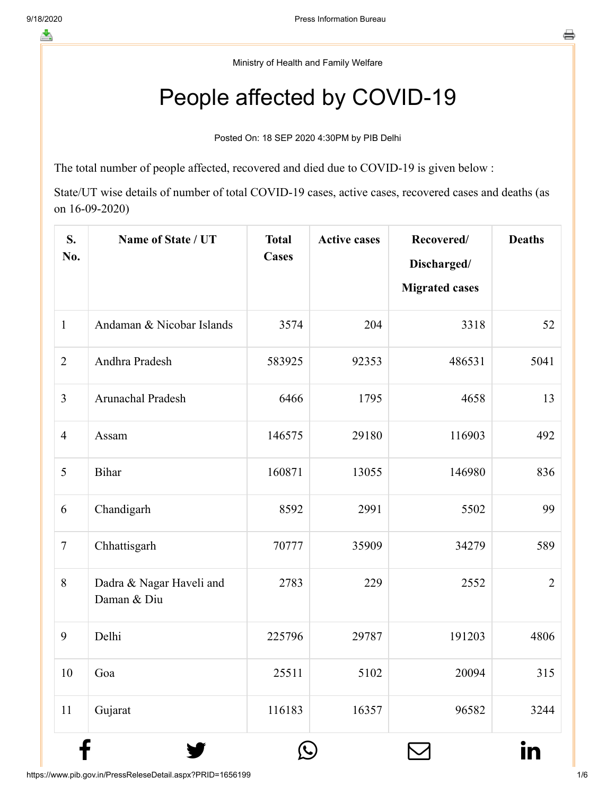Ministry of Health and Family Welfare

## People affected by COVID-19

Posted On: 18 SEP 2020 4:30PM by PIB Delhi

The total number of people affected, recovered and died due to COVID-19 is given below :

State/UT wise details of number of total COVID-19 cases, active cases, recovered cases and deaths (as on 16-09-2020)

| S.<br>No.      | Name of State / UT                      | <b>Total</b><br><b>Cases</b> | <b>Active cases</b> | Recovered/<br>Discharged/<br><b>Migrated cases</b> | <b>Deaths</b>  |
|----------------|-----------------------------------------|------------------------------|---------------------|----------------------------------------------------|----------------|
| $\mathbf{1}$   | Andaman & Nicobar Islands               | 3574                         | 204                 | 3318                                               | 52             |
| $\overline{2}$ | Andhra Pradesh                          | 583925                       | 92353               | 486531                                             | 5041           |
| $\overline{3}$ | Arunachal Pradesh                       | 6466                         | 1795                | 4658                                               | 13             |
| $\overline{4}$ | Assam                                   | 146575                       | 29180               | 116903                                             | 492            |
| 5              | Bihar                                   | 160871                       | 13055               | 146980                                             | 836            |
| 6              | Chandigarh                              | 8592                         | 2991                | 5502                                               | 99             |
| $\overline{7}$ | Chhattisgarh                            | 70777                        | 35909               | 34279                                              | 589            |
| 8              | Dadra & Nagar Haveli and<br>Daman & Diu | 2783                         | 229                 | 2552                                               | $\overline{2}$ |
| 9              | Delhi                                   | 225796                       | 29787               | 191203                                             | 4806           |
| 10             | Goa                                     | 25511                        | 5102                | 20094                                              | 315            |
| 11             | Gujarat                                 | 116183                       | 16357               | 96582                                              | 3244           |

 $f$  y  $\circledcirc$   $\quad \circ$  in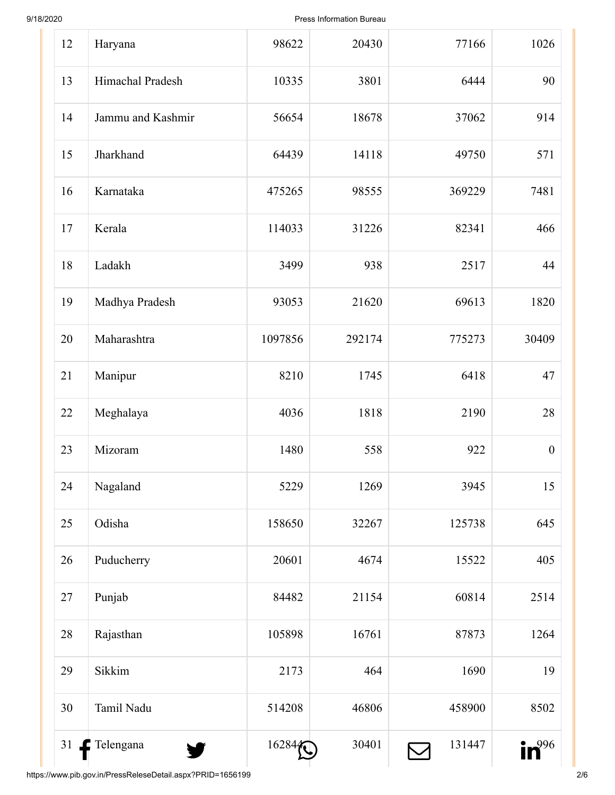9/18/2020 Press Information Bureau

| 12 | Haryana           | 98622   | 20430  | 77166  | 1026             |
|----|-------------------|---------|--------|--------|------------------|
| 13 | Himachal Pradesh  | 10335   | 3801   | 6444   | 90               |
| 14 | Jammu and Kashmir | 56654   | 18678  | 37062  | 914              |
| 15 | Jharkhand         | 64439   | 14118  | 49750  | 571              |
| 16 | Karnataka         | 475265  | 98555  | 369229 | 7481             |
| 17 | Kerala            | 114033  | 31226  | 82341  | 466              |
| 18 | Ladakh            | 3499    | 938    | 2517   | 44               |
| 19 | Madhya Pradesh    | 93053   | 21620  | 69613  | 1820             |
| 20 | Maharashtra       | 1097856 | 292174 | 775273 | 30409            |
| 21 | Manipur           | 8210    | 1745   | 6418   | 47               |
| 22 | Meghalaya         | 4036    | 1818   | 2190   | 28               |
| 23 | Mizoram           | 1480    | 558    | 922    | $\boldsymbol{0}$ |
| 24 | Nagaland          | 5229    | 1269   | 3945   | 15               |
| 25 | Odisha            | 158650  | 32267  | 125738 | 645              |
| 26 | Puducherry        | 20601   | 4674   | 15522  | 405              |
| 27 | Punjab            | 84482   | 21154  | 60814  | 2514             |
| 28 | Rajasthan         | 105898  | 16761  | 87873  | 1264             |
| 29 | Sikkim            | 2173    | 464    | 1690   | 19               |
| 30 | Tamil Nadu        | 514208  | 46806  | 458900 | 8502             |
| 31 | Telengana<br>y.   | 16284   | 30401  | 131447 | $in^{996}$       |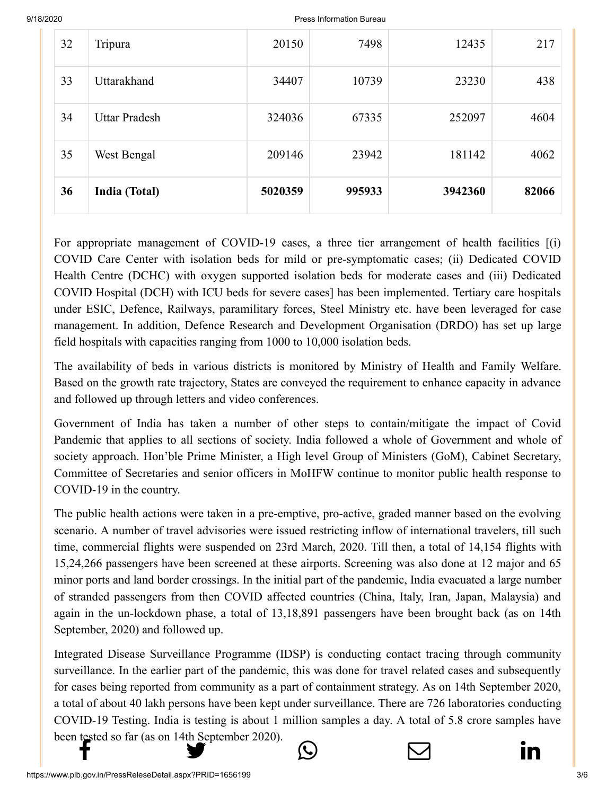9/18/2020 Press Information Bureau

| 32 | Tripura              | 20150   | 7498   | 12435   | 217   |
|----|----------------------|---------|--------|---------|-------|
| 33 | Uttarakhand          | 34407   | 10739  | 23230   | 438   |
| 34 | <b>Uttar Pradesh</b> | 324036  | 67335  | 252097  | 4604  |
| 35 | West Bengal          | 209146  | 23942  | 181142  | 4062  |
| 36 | India (Total)        | 5020359 | 995933 | 3942360 | 82066 |

For appropriate management of COVID-19 cases, a three tier arrangement of health facilities [(i) COVID Care Center with isolation beds for mild or pre-symptomatic cases; (ii) Dedicated COVID Health Centre (DCHC) with oxygen supported isolation beds for moderate cases and (iii) Dedicated COVID Hospital (DCH) with ICU beds for severe cases] has been implemented. Tertiary care hospitals under ESIC, Defence, Railways, paramilitary forces, Steel Ministry etc. have been leveraged for case management. In addition, Defence Research and Development Organisation (DRDO) has set up large field hospitals with capacities ranging from 1000 to 10,000 isolation beds.

The availability of beds in various districts is monitored by Ministry of Health and Family Welfare. Based on the growth rate trajectory, States are conveyed the requirement to enhance capacity in advance and followed up through letters and video conferences.

Government of India has taken a number of other steps to contain/mitigate the impact of Covid Pandemic that applies to all sections of society. India followed a whole of Government and whole of society approach. Hon'ble Prime Minister, a High level Group of Ministers (GoM), Cabinet Secretary, Committee of Secretaries and senior officers in MoHFW continue to monitor public health response to COVID-19 in the country.

The public health actions were taken in a pre-emptive, pro-active, graded manner based on the evolving scenario. A number of travel advisories were issued restricting inflow of international travelers, till such time, commercial flights were suspended on 23rd March, 2020. Till then, a total of 14,154 flights with 15,24,266 passengers have been screened at these airports. Screening was also done at 12 major and 65 minor ports and land border crossings. In the initial part of the pandemic, India evacuated a large number of stranded passengers from then COVID affected countries (China, Italy, Iran, Japan, Malaysia) and again in the un-lockdown phase, a total of 13,18,891 passengers have been brought back (as on 14th September, 2020) and followed up.

Integrated Disease Surveillance Programme (IDSP) is conducting contact tracing through community surveillance. In the earlier part of the pandemic, this was done for travel related cases and subsequently for cases being reported from community as a part of containment strategy. As on 14th September 2020, a total of about 40 lakh persons have been kept under surveillance. There are 726 laboratories conducting COVID-19 Testing. India is testing is about 1 million samples a day. A total of 5.8 crore samples have [been tested so far](http://www.facebook.com/share.php?u=https://pib.gov.in/PressReleasePage.aspx?PRID=1656199) [\(as on 14th September 2](https://twitter.com/intent/tweet?url=https://pib.gov.in/PressReleasePage.aspx?PRID=1656199&text=People%20affected%20by%20COVID-19)020).





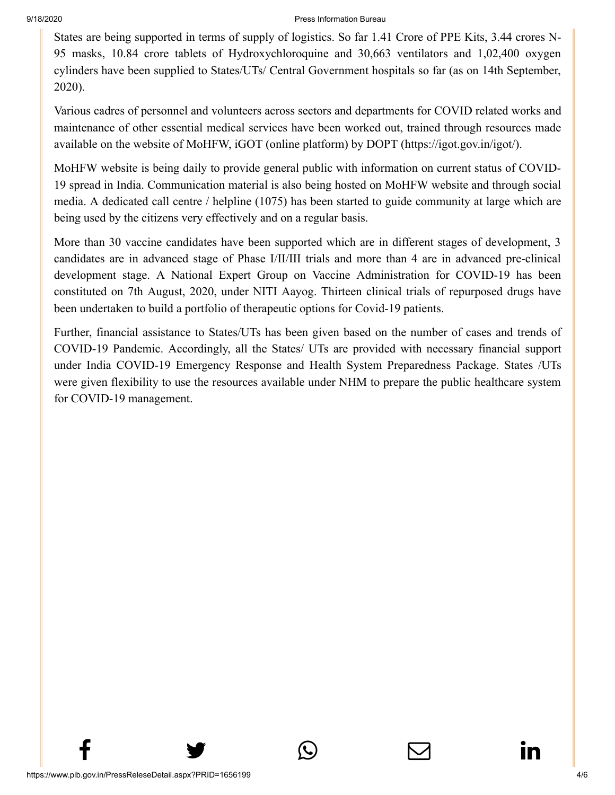## 9/18/2020 Press Information Bureau

[States are being s](http://www.facebook.com/share.php?u=https://pib.gov.in/PressReleasePage.aspx?PRID=1656199)[upported in terms of su](https://twitter.com/intent/tweet?url=https://pib.gov.in/PressReleasePage.aspx?PRID=1656199&text=People%20affected%20by%20COVID-19)[pply of logistics. So fa](https://api.whatsapp.com/send?text=https://pib.gov.in/PressReleasePage.aspx?PRID=1656199)[r 1.41 Crore of PPE Ki](https://mail.google.com/mail/?view=cm&fs=1&tf=1&to=&su=People%20affected%20by%20COVID-19&body=https://pib.gov.in/PressReleasePage.aspx?PRID=1656199&ui=2&tf=1&pli=1)[ts, 3.44 crores N-](https://www.linkedin.com/shareArticle?mini=true&url=https://pib.gov.in/PressReleasePage.aspx?PRID=1656199&title=People%20affected%20by%20COVID-19&summary=My%20favorite%20developer%20program&source=LinkedIn)95 masks, 10.84 crore tablets of Hydroxychloroquine and 30,663 ventilators and 1,02,400 oxygen cylinders have been supplied to States/UTs/ Central Government hospitals so far (as on 14th September, 2020).

Various cadres of personnel and volunteers across sectors and departments for COVID related works and maintenance of other essential medical services have been worked out, trained through resources made available on the website of MoHFW, iGOT (online platform) by DOPT (https://igot.gov.in/igot/).

MoHFW website is being daily to provide general public with information on current status of COVID-19 spread in India. Communication material is also being hosted on MoHFW website and through social media. A dedicated call centre / helpline (1075) has been started to guide community at large which are being used by the citizens very effectively and on a regular basis.

More than 30 vaccine candidates have been supported which are in different stages of development, 3 candidates are in advanced stage of Phase I/II/III trials and more than 4 are in advanced pre-clinical development stage. A National Expert Group on Vaccine Administration for COVID-19 has been constituted on 7th August, 2020, under NITI Aayog. Thirteen clinical trials of repurposed drugs have been undertaken to build a portfolio of therapeutic options for Covid-19 patients.

Further, financial assistance to States/UTs has been given based on the number of cases and trends of COVID-19 Pandemic. Accordingly, all the States/ UTs are provided with necessary financial support under India COVID-19 Emergency Response and Health System Preparedness Package. States /UTs were given flexibility to use the resources available under NHM to prepare the public healthcare system for COVID-19 management.

 $f$  y  $\circledcirc$   $\quad \circ$  in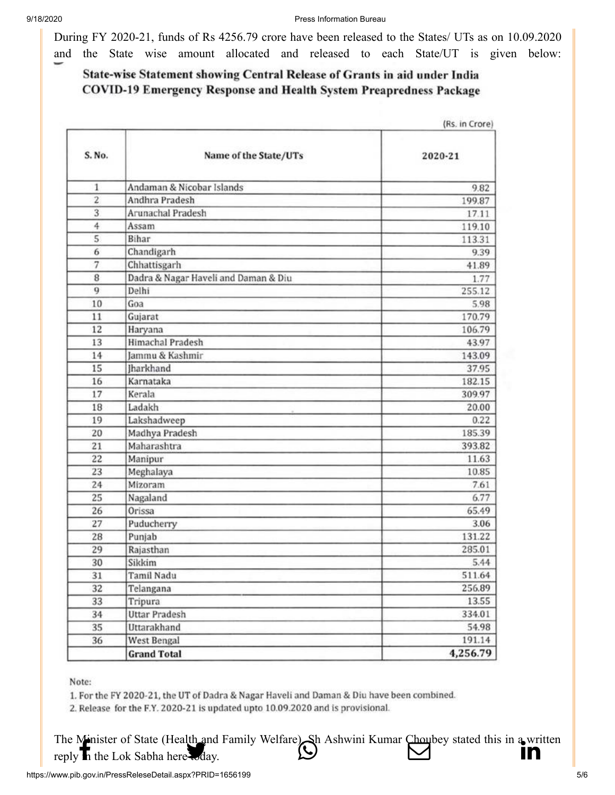[During FY 2020-](http://www.facebook.com/share.php?u=https://pib.gov.in/PressReleasePage.aspx?PRID=1656199)[21, funds of Rs 4256.7](https://twitter.com/intent/tweet?url=https://pib.gov.in/PressReleasePage.aspx?PRID=1656199&text=People%20affected%20by%20COVID-19)[9 crore have been rele](https://api.whatsapp.com/send?text=https://pib.gov.in/PressReleasePage.aspx?PRID=1656199)[ased to the States/ UTs](https://mail.google.com/mail/?view=cm&fs=1&tf=1&to=&su=People%20affected%20by%20COVID-19&body=https://pib.gov.in/PressReleasePage.aspx?PRID=1656199&ui=2&tf=1&pli=1) [as on 10.09.2020](https://www.linkedin.com/shareArticle?mini=true&url=https://pib.gov.in/PressReleasePage.aspx?PRID=1656199&title=People%20affected%20by%20COVID-19&summary=My%20favorite%20developer%20program&source=LinkedIn) and the State wise amount allocated and released to each State/UT is given below:

## State-wise Statement showing Central Release of Grants in aid under India **COVID-19 Emergency Response and Health System Preapredness Package**

|                |                                      | (Rs. in Crore) |  |
|----------------|--------------------------------------|----------------|--|
| S. No.         | Name of the State/UTs                | 2020-21        |  |
| 1              | Andaman & Nicobar Islands            | 9.82           |  |
| $\overline{2}$ | Andhra Pradesh                       | 199.87         |  |
| 3              | <b>Arunachal Pradesh</b>             | 17.11          |  |
| 4              | Assam                                | 119.10         |  |
| 5              | Bihar                                | 113.31         |  |
| 6              | Chandigarh                           | 9.39           |  |
| 7              | Chhattisgarh                         | 41.89          |  |
| 8              | Dadra & Nagar Haveli and Daman & Diu | 1.77           |  |
| 9              | Delhi                                | 255.12         |  |
| 10             | Goa                                  | 5.98           |  |
| 11             | Gujarat                              | 170.79         |  |
| 12             | Haryana                              | 106.79         |  |
| 13             | Himachal Pradesh                     | 43.97          |  |
| 14             | Jammu & Kashmir                      | 143.09         |  |
| 15             | lharkhand                            | 37.95          |  |
| 16             | Karnataka                            | 182.15         |  |
| 17             | Kerala                               | 309.97         |  |
| 18             | Ladakh                               | 20.00          |  |
| 19             | Lakshadweep                          | 0.22           |  |
| 20             | Madhya Pradesh                       | 185.39         |  |
| 21             | Maharashtra                          | 393.82         |  |
| 22             | Manipur                              | 11.63          |  |
| 23             | Meghalaya                            | 10.85          |  |
| 24             | Mizoram                              | 7.61           |  |
| 25             | Nagaland                             | 6.77           |  |
| 26             | Orissa                               | 65.49          |  |
| 27             | Puducherry                           | 3.06           |  |
| 28             | Punjab                               | 131.22         |  |
| 29             | Rajasthan                            | 285.01         |  |
| 30             | Sikkim                               | 5.44           |  |
| 31             | Tamil Nadu                           | 511.64         |  |
| 32             | Telangana                            | 256.89         |  |
| 33             | Tripura                              | 13.55          |  |
| 34             | <b>Uttar Pradesh</b>                 | 334.01         |  |
| 35             | Uttarakhand                          | 54.98          |  |
| 36             | West Bengal                          | 191.14         |  |
|                | <b>Grand Total</b>                   | 4,256.79       |  |

Note:

1. For the FY 2020-21, the UT of Dadra & Nagar Haveli and Daman & Diu have been combined.

2. Release for the F.Y. 2020-21 is updated upto 10.09.2020 and is provisional.

[The Minister of S](http://www.facebook.com/share.php?u=https://pib.gov.in/PressReleasePage.aspx?PRID=1656199)[tate \(Health and Famil](https://twitter.com/intent/tweet?url=https://pib.gov.in/PressReleasePage.aspx?PRID=1656199&text=People%20affected%20by%20COVID-19)y Welfare). Sh Ashwini [Kumar Choubey state](https://mail.google.com/mail/?view=cm&fs=1&tf=1&to=&su=People%20affected%20by%20COVID-19&body=https://pib.gov.in/PressReleasePage.aspx?PRID=1656199&ui=2&tf=1&pli=1)[d this in a written](https://www.linkedin.com/shareArticle?mini=true&url=https://pib.gov.in/PressReleasePage.aspx?PRID=1656199&title=People%20affected%20by%20COVID-19&summary=My%20favorite%20developer%20program&source=LinkedIn) reply **in** the Lok Sabha here today.